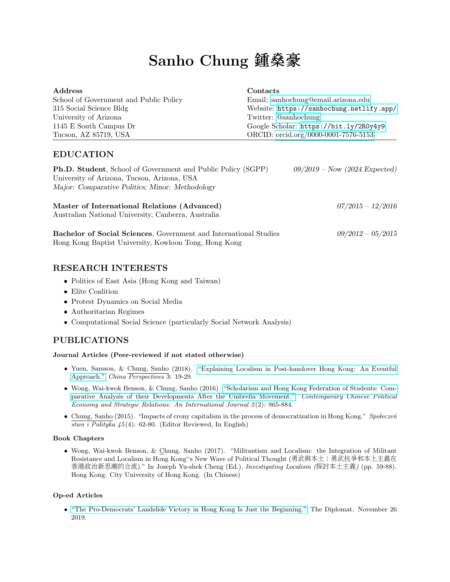# Sanho Chung 鍾燊<sup>豪</sup>

| Address                                | Contacts                                 |
|----------------------------------------|------------------------------------------|
| School of Government and Public Policy | Email: sanhochung@email.arizona.edu      |
| 315 Social Science Bldg                | Website: https://sanhochung.netlify.app/ |
| University of Arizona                  | Twitter: @sanhochung                     |
| 1145 E South Campus Dr                 | Google Scholar: https://bit.ly/2R0y4y9   |
| Tucson, AZ 85719, USA                  | ORCID: orcid.org/0000-0001-7576-5153     |

## EDUCATION

| <b>Ph.D. Student</b> , School of Government and Public Policy (SGPP)<br>University of Arizona, Tucson, Arizona, USA<br>Major: Comparative Politics; Minor: Methodology | $09/2019$ – Now (2024 Expected) |
|------------------------------------------------------------------------------------------------------------------------------------------------------------------------|---------------------------------|
| Master of International Relations (Advanced)<br>Australian National University, Canberra, Australia                                                                    | $07/2015 - 12/2016$             |

Bachelor of Social Sciences, Government and International Studies 09/2012 – 05/2015 Hong Kong Baptist University, Kowloon Tong, Hong Kong

### RESEARCH INTERESTS

- Politics of East Asia (Hong Kong and Taiwan)
- Elite Coalition
- Protest Dynamics on Social Media
- Authoritarian Regimes
- Computational Social Science (particularly Social Network Analysis)

## PUBLICATIONS

#### Journal Articles (Peer-reviewed if not stated otherwise)

- Yuen, Samson, & Chung, Sanho (2018). ["Explaining Localism in Post-handover Hong Kong: An Eventful](https://doi.org/10.4000/chinaperspectives.8044) [Approach."](https://doi.org/10.4000/chinaperspectives.8044) China Perspectives 3: 19-29.
- Wong, Wai-kwok Benson, & Chung, Sanho (2016). ["Scholarism and Hong Kong Federation of Students: Com](https://doaj.org/article/e12baf4705554e9383224b7117ed43ce)[parative Analysis of their Developments After the Umbrella Movement."](https://doaj.org/article/e12baf4705554e9383224b7117ed43ce) Contemporary Chinese Political Economy and Strategic Relations: An International Journal 2(2): 865-884.
- Chung, Sanho (2015). "Impacts of crony capitalism in the process of democratization in Hong Kong." Społeczeń  $\overline{stwo}$  i Polityka  $45(4)$ : 62-80. (Editor Reviewed, In English)

#### Book Chapters

• Wong, Wai-kwok Benson, & Chung, Sanho (2017). "Militantism and Localism: the Integration of Militant Resistance and Localism in Hong Kong''s New Wave of Political Thought (勇武與本土:勇武抗爭和本土主義<sup>在</sup> <sup>香</sup>港政治新思潮的合流)." In Joseph Yu-shek Cheng (Ed.), Investigating Localism (探討本土主義) (pp. 59-88). Hong Kong: City University of Hong Kong. (In Chinese)

#### Op-ed Articles

• ["The Pro-Democrats' Landslide Victory in Hong Kong Is Just the Beginning."](https://thediplomat.com/2019/11/the-pro-democrats-landslide-victory-in-hong-kong-is-just-the-beginning/) The Diplomat. November 26 2019.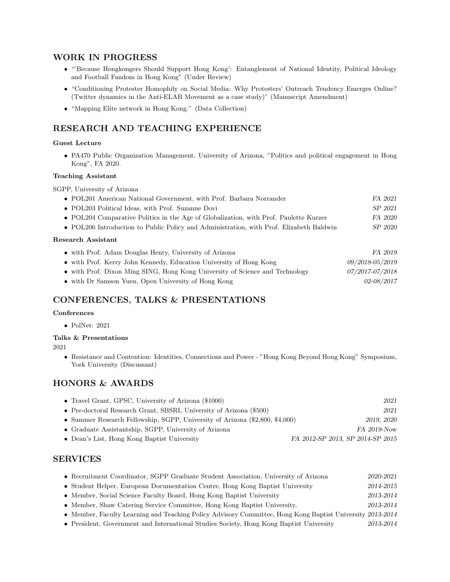## WORK IN PROGRESS

- "'Because Hongkongers Should Support Hong Kong': Entanglement of National Identity, Political Ideology and Football Fandom in Hong Kong" (Under Review)
- "Conditioning Protester Homophily on Social Media: Why Protesters' Outreach Tendency Emerges Online? (Twitter dynamics in the Anti-ELAB Movement as a case study)" (Manuscript Amendment)
- "Mapping Elite network in Hong Kong." (Data Collection)

## RESEARCH AND TEACHING EXPERIENCE

#### Guest Lecture

• PA470 Public Organization Management, University of Arizona, "Politics and political engagement in Hong Kong", FA 2020.

#### Teaching Assistant

SGPP, University of Arizona

| • POL201 American National Government, with Prof. Barbara Norrander                     | FA 2021         |  |  |  |
|-----------------------------------------------------------------------------------------|-----------------|--|--|--|
| • POL203 Political Ideas, with Prof. Suzanne Dovi                                       | SP 2021         |  |  |  |
| • POL204 Comparative Politics in the Age of Globalization, with Prof. Paulette Kurzer   | FA 2020         |  |  |  |
| • POL206 Introduction to Public Policy and Administration, with Prof. Elizabeth Baldwin | SP 2020         |  |  |  |
| Research Assistant                                                                      |                 |  |  |  |
| • with Prof. Adam Douglas Henry, University of Arizona                                  | FA 2019         |  |  |  |
| • with Prof. Kerry John Kennedy, Education University of Hong Kong                      | 09/2018-05/2019 |  |  |  |
| • with Prof. Dixon Ming SING, Hong Kong University of Science and Technology            | 07/2017-07/2018 |  |  |  |

• with Dr Samson Yuen, Open University of Hong Kong 02-08/2017

## CONFERENCES, TALKS & PRESENTATIONS

#### Conferences

• PolNet: 2021

#### Talks & Presentations

2021

• Resistance and Contention: Identities, Connections and Power - "Hong Kong Beyond Hong Kong" Symposium, York University (Discussant)

## HONORS & AWARDS

| • Travel Grant, GPSC, University of Arizona $(\$1000)$                       | 2021                             |
|------------------------------------------------------------------------------|----------------------------------|
| • Pre-doctoral Research Grant, SBSRI, University of Arizona (\$500)          | 2021                             |
| • Summer Research Fellowship, SGPP, University of Arizona (\$2,800, \$4,000) | 2019, 2020                       |
| • Graduate Assistantship, SGPP, University of Arizona                        | FA 2019-Now                      |
| • Dean's List, Hong Kong Baptist University                                  | FA 2012-SP 2013, SP 2014-SP 2015 |

## SERVICES

| • Recruitment Coordinator, SGPP Graduate Student Association, University of Arizona                       | 2020-2021 |
|-----------------------------------------------------------------------------------------------------------|-----------|
| • Student Helper, European Documentation Centre, Hong Kong Baptist University                             | 2014-2015 |
| • Member, Social Science Faculty Board, Hong Kong Baptist University                                      | 2013-2014 |
| • Member, Shaw Catering Service Committee, Hong Kong Baptist University,                                  | 2013-2014 |
| • Member, Faculty Learning and Teaching Policy Advisory Committee, Hong Kong Baptist University 2013-2014 |           |

• President, Government and International Studies Society, Hong Kong Baptist University 2013-2014